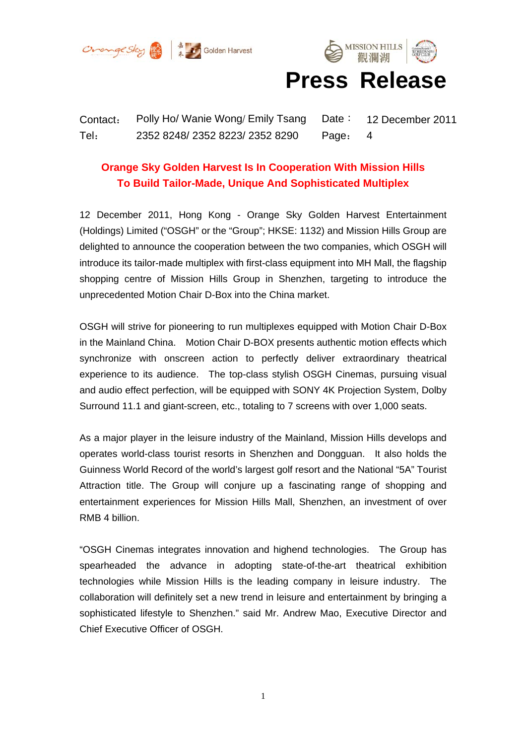



# **Press Release**

Contact: Polly Ho/ Wanie Wong/ Emily Tsang Date: 12 December 2011 Tel: 2352 8248/ 2352 8223/ 2352 8290 Page: 4

# **Orange Sky Golden Harvest Is In Cooperation With Mission Hills To Build Tailor-Made, Unique And Sophisticated Multiplex**

12 December 2011, Hong Kong - Orange Sky Golden Harvest Entertainment (Holdings) Limited ("OSGH" or the "Group"; HKSE: 1132) and Mission Hills Group are delighted to announce the cooperation between the two companies, which OSGH will introduce its tailor-made multiplex with first-class equipment into MH Mall, the flagship shopping centre of Mission Hills Group in Shenzhen, targeting to introduce the unprecedented Motion Chair D-Box into the China market.

OSGH will strive for pioneering to run multiplexes equipped with Motion Chair D-Box in the Mainland China. Motion Chair D-BOX presents authentic motion effects which synchronize with onscreen action to perfectly deliver extraordinary theatrical experience to its audience. The top-class stylish OSGH Cinemas, pursuing visual and audio effect perfection, will be equipped with SONY 4K Projection System, Dolby Surround 11.1 and giant-screen, etc., totaling to 7 screens with over 1,000 seats.

As a major player in the leisure industry of the Mainland, Mission Hills develops and operates world-class tourist resorts in Shenzhen and Dongguan. It also holds the Guinness World Record of the world's largest golf resort and the National "5A" Tourist Attraction title. The Group will conjure up a fascinating range of shopping and entertainment experiences for Mission Hills Mall, Shenzhen, an investment of over RMB 4 billion.

"OSGH Cinemas integrates innovation and highend technologies. The Group has spearheaded the advance in adopting state-of-the-art theatrical exhibition technologies while Mission Hills is the leading company in leisure industry. The collaboration will definitely set a new trend in leisure and entertainment by bringing a sophisticated lifestyle to Shenzhen." said Mr. Andrew Mao, Executive Director and Chief Executive Officer of OSGH.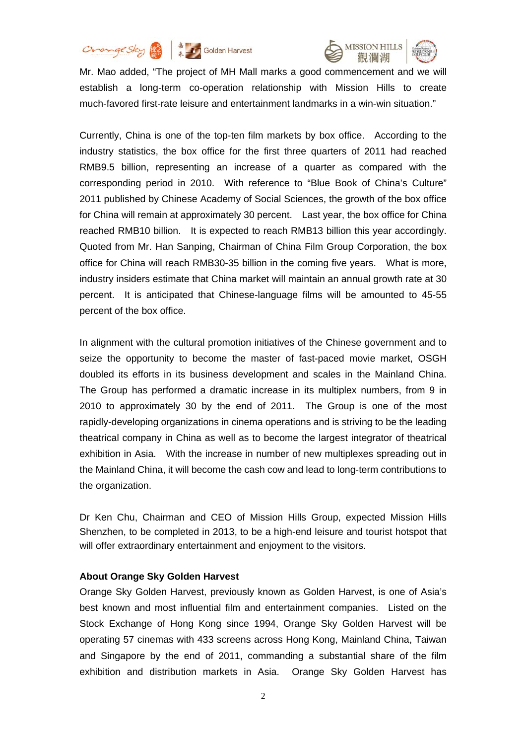



Mr. Mao added, "The project of MH Mall marks a good commencement and we will establish a long-term co-operation relationship with Mission Hills to create much-favored first-rate leisure and entertainment landmarks in a win-win situation."

Currently, China is one of the top-ten film markets by box office. According to the industry statistics, the box office for the first three quarters of 2011 had reached RMB9.5 billion, representing an increase of a quarter as compared with the corresponding period in 2010. With reference to "Blue Book of China's Culture" 2011 published by Chinese Academy of Social Sciences, the growth of the box office for China will remain at approximately 30 percent. Last year, the box office for China reached RMB10 billion. It is expected to reach RMB13 billion this year accordingly. Quoted from Mr. Han Sanping, Chairman of China Film Group Corporation, the box office for China will reach RMB30-35 billion in the coming five years. What is more, industry insiders estimate that China market will maintain an annual growth rate at 30 percent. It is anticipated that Chinese-language films will be amounted to 45-55 percent of the box office.

In alignment with the cultural promotion initiatives of the Chinese government and to seize the opportunity to become the master of fast-paced movie market, OSGH doubled its efforts in its business development and scales in the Mainland China. The Group has performed a dramatic increase in its multiplex numbers, from 9 in 2010 to approximately 30 by the end of 2011. The Group is one of the most rapidly-developing organizations in cinema operations and is striving to be the leading theatrical company in China as well as to become the largest integrator of theatrical exhibition in Asia. With the increase in number of new multiplexes spreading out in the Mainland China, it will become the cash cow and lead to long-term contributions to the organization.

Dr Ken Chu, Chairman and CEO of Mission Hills Group, expected Mission Hills Shenzhen, to be completed in 2013, to be a high-end leisure and tourist hotspot that will offer extraordinary entertainment and enjoyment to the visitors.

### **About Orange Sky Golden Harvest**

Orange Sky Golden Harvest, previously known as Golden Harvest, is one of Asia's best known and most influential film and entertainment companies. Listed on the Stock Exchange of Hong Kong since 1994, Orange Sky Golden Harvest will be operating 57 cinemas with 433 screens across Hong Kong, Mainland China, Taiwan and Singapore by the end of 2011, commanding a substantial share of the film exhibition and distribution markets in Asia. Orange Sky Golden Harvest has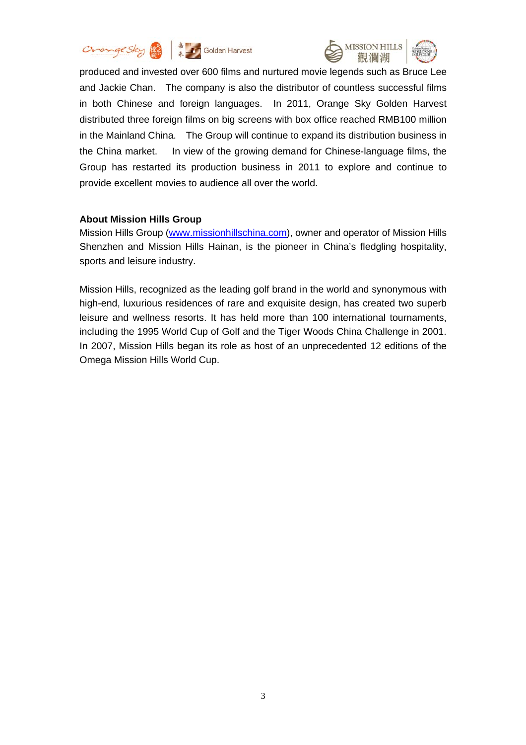



produced and invested over 600 films and nurtured movie legends such as Bruce Lee and Jackie Chan. The company is also the distributor of countless successful films in both Chinese and foreign languages. In 2011, Orange Sky Golden Harvest distributed three foreign films on big screens with box office reached RMB100 million in the Mainland China. The Group will continue to expand its distribution business in the China market. In view of the growing demand for Chinese-language films, the Group has restarted its production business in 2011 to explore and continue to provide excellent movies to audience all over the world.

### **About Mission Hills Group**

Mission Hills Group (www.missionhillschina.com), owner and operator of Mission Hills Shenzhen and Mission Hills Hainan, is the pioneer in China's fledgling hospitality, sports and leisure industry.

Mission Hills, recognized as the leading golf brand in the world and synonymous with high-end, luxurious residences of rare and exquisite design, has created two superb leisure and wellness resorts. It has held more than 100 international tournaments, including the 1995 World Cup of Golf and the Tiger Woods China Challenge in 2001. In 2007, Mission Hills began its role as host of an unprecedented 12 editions of the Omega Mission Hills World Cup.